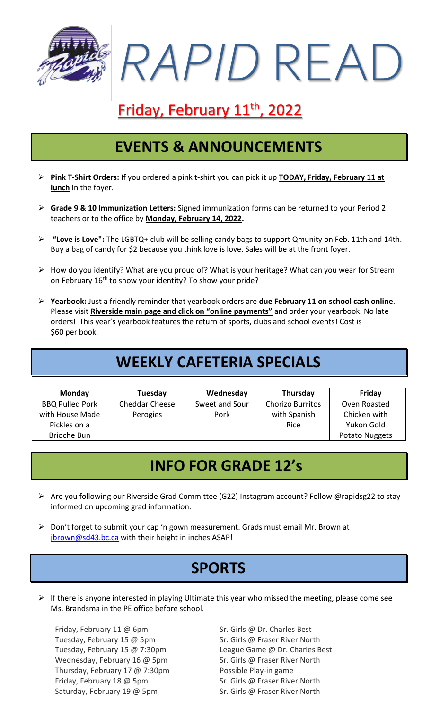

# Friday, February 11<sup>th</sup>, 2022

## **EVENTS & ANNOUNCEMENTS**

- ➢ **Pink T-Shirt Orders:** If you ordered a pink t-shirt you can pick it up **TODAY, Friday, February 11 at lunch** in the foyer.
- ➢ **Grade 9 & 10 Immunization Letters:** Signed immunization forms can be returned to your Period 2 teachers or to the office by **Monday, February 14, 2022.**
- ➢ **"Love is Love":** The LGBTQ+ club will be selling candy bags to support Qmunity on Feb. 11th and 14th. Buy a bag of candy for \$2 because you think love is love. Sales will be at the front foyer.
- ➢ How do you identify? What are you proud of? What is your heritage? What can you wear for Stream on February 16<sup>th</sup> to show your identity? To show your pride?
- ➢ **Yearbook:** Just a friendly reminder that yearbook orders are **due February 11 on school cash online**. Please visit **Riverside main page and click on "online payments"** and order your yearbook. No late orders! This year's yearbook features the return of sports, clubs and school events! Cost is \$60 per book.

## **WEEKLY CAFETERIA SPECIALS**

| <b>Monday</b>          | Tuesday               | Wednesday      | Thursday                | Friday         |
|------------------------|-----------------------|----------------|-------------------------|----------------|
| <b>BBQ Pulled Pork</b> | <b>Cheddar Cheese</b> | Sweet and Sour | <b>Chorizo Burritos</b> | Oven Roasted   |
| with House Made        | Perogies              | Pork           | with Spanish            | Chicken with   |
| Pickles on a           |                       |                | Rice                    | Yukon Gold     |
| <b>Brioche Bun</b>     |                       |                |                         | Potato Nuggets |

## **INFO FOR GRADE 12's**

- ➢ Are you following our Riverside Grad Committee (G22) Instagram account? Follow @rapidsg22 to stay informed on upcoming grad information.
- ➢ Don't forget to submit your cap 'n gown measurement. Grads must email Mr. Brown at ibrown@sd43.bc.ca with their height in inches ASAP!

## **SPORTS**

 $\triangleright$  If there is anyone interested in playing Ultimate this year who missed the meeting, please come see Ms. Brandsma in the PE office before school.

Friday, February 11 @ 6pm Sr. Girls @ Dr. Charles Best Tuesday, February 15 @ 5pm Sr. Girls @ Fraser River North Tuesday, February 15 @ 7:30pm League Game @ Dr. Charles Best Wednesday, February 16 @ 5pm Sr. Girls @ Fraser River North Thursday, February 17 @ 7:30pm Possible Play-in game Friday, February 18 @ 5pm Sr. Girls @ Fraser River North Saturday, February 19 @ 5pm Sr. Girls @ Fraser River North